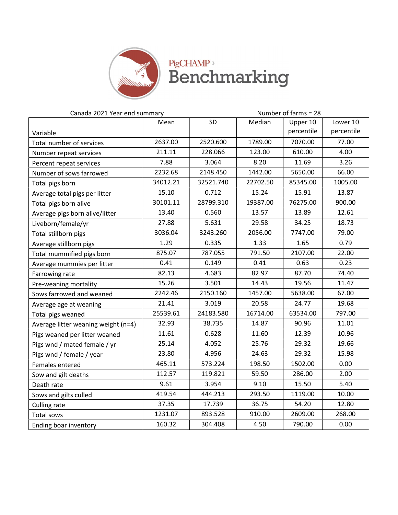

**PigCHAMP**<sup>></sup><br>Benchmarking

| Canada 2021 Year end summary        |          | Number of farms = 28 |          |            |            |
|-------------------------------------|----------|----------------------|----------|------------|------------|
|                                     | Mean     | SD                   | Median   | Upper 10   | Lower 10   |
| Variable                            |          |                      |          | percentile | percentile |
| Total number of services            | 2637.00  | 2520.600             | 1789.00  | 7070.00    | 77.00      |
| Number repeat services              | 211.11   | 228.066              | 123.00   | 610.00     | 4.00       |
| Percent repeat services             | 7.88     | 3.064                | 8.20     | 11.69      | 3.26       |
| Number of sows farrowed             | 2232.68  | 2148.450             | 1442.00  | 5650.00    | 66.00      |
| Total pigs born                     | 34012.21 | 32521.740            | 22702.50 | 85345.00   | 1005.00    |
| Average total pigs per litter       | 15.10    | 0.712                | 15.24    | 15.91      | 13.87      |
| Total pigs born alive               | 30101.11 | 28799.310            | 19387.00 | 76275.00   | 900.00     |
| Average pigs born alive/litter      | 13.40    | 0.560                | 13.57    | 13.89      | 12.61      |
| Liveborn/female/yr                  | 27.88    | 5.631                | 29.58    | 34.25      | 18.73      |
| Total stillborn pigs                | 3036.04  | 3243.260             | 2056.00  | 7747.00    | 79.00      |
| Average stillborn pigs              | 1.29     | 0.335                | 1.33     | 1.65       | 0.79       |
| Total mummified pigs born           | 875.07   | 787.055              | 791.50   | 2107.00    | 22.00      |
| Average mummies per litter          | 0.41     | 0.149                | 0.41     | 0.63       | 0.23       |
| Farrowing rate                      | 82.13    | 4.683                | 82.97    | 87.70      | 74.40      |
| Pre-weaning mortality               | 15.26    | 3.501                | 14.43    | 19.56      | 11.47      |
| Sows farrowed and weaned            | 2242.46  | 2150.160             | 1457.00  | 5638.00    | 67.00      |
| Average age at weaning              | 21.41    | 3.019                | 20.58    | 24.77      | 19.68      |
| Total pigs weaned                   | 25539.61 | 24183.580            | 16714.00 | 63534.00   | 797.00     |
| Average litter weaning weight (n=4) | 32.93    | 38.735               | 14.87    | 90.96      | 11.01      |
| Pigs weaned per litter weaned       | 11.61    | 0.628                | 11.60    | 12.39      | 10.96      |
| Pigs wnd / mated female / yr        | 25.14    | 4.052                | 25.76    | 29.32      | 19.66      |
| Pigs wnd / female / year            | 23.80    | 4.956                | 24.63    | 29.32      | 15.98      |
| Females entered                     | 465.11   | 573.224              | 198.50   | 1502.00    | 0.00       |
| Sow and gilt deaths                 | 112.57   | 119.821              | 59.50    | 286.00     | 2.00       |
| Death rate                          | 9.61     | 3.954                | 9.10     | 15.50      | 5.40       |
| Sows and gilts culled               | 419.54   | 444.213              | 293.50   | 1119.00    | 10.00      |
| Culling rate                        | 37.35    | 17.739               | 36.75    | 54.20      | 12.80      |
| Total sows                          | 1231.07  | 893.528              | 910.00   | 2609.00    | 268.00     |
| Ending boar inventory               | 160.32   | 304.408              | 4.50     | 790.00     | 0.00       |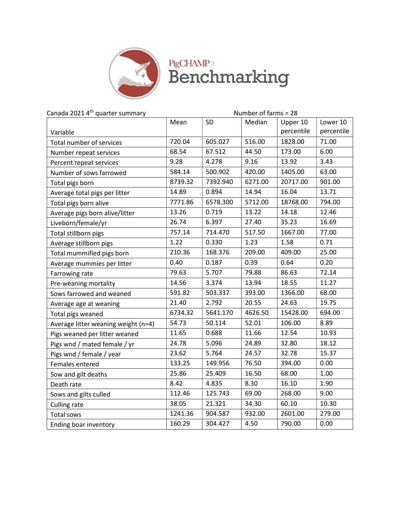

## PigCHAMP<sup>,</sup><br>Benchmarking

| Canada 2021 4th quarter summary     | Number of farms = 28 |          |         |            |            |
|-------------------------------------|----------------------|----------|---------|------------|------------|
|                                     | Mean                 | SD       | Median  | Upper 10   | Lower 10   |
| Variable                            |                      |          |         | percentile | percentile |
| Total number of services            | 720.04               | 605.027  | 516.00  | 1828.00    | 71.00      |
| Number repeat services              | 68.54                | 67.512   | 44.50   | 173.00     | 6.00       |
| Percent repeat services             | 9.28                 | 4.278    | 9.16    | 13.92      | 3.43       |
| Number of sows farrowed             | 584.14               | 500.902  | 420.00  | 1405.00    | 63.00      |
| Total pigs born                     | 8739.32              | 7392.940 | 6271.00 | 20717.00   | 901.00     |
| Average total pigs per litter       | 14.89                | 0.894    | 14.94   | 16.04      | 13.71      |
| Total pigs born alive               | 7771.86              | 6578.300 | 5712.00 | 18768.00   | 794.00     |
| Average pigs born alive/litter      | 13.26                | 0.719    | 13.22   | 14.18      | 12.46      |
| Liveborn/female/yr                  | 26.74                | 6.397    | 27.40   | 35.23      | 16.69      |
| Total stillborn pigs                | 757.14               | 714.470  | 517.50  | 1667.00    | 77.00      |
| Average stillborn pigs              | 1.22                 | 0.330    | 1.23    | 1.58       | 0.71       |
| Total mummified pigs born           | 210.36               | 168.376  | 209.00  | 409.00     | 25.00      |
| Average mummies per litter          | 0.40                 | 0.187    | 0.39    | 0.64       | 0.20       |
| Farrowing rate                      | 79.63                | 5.707    | 79.88   | 86.63      | 72.14      |
| Pre-weaning mortality               | 14.56                | 3.374    | 13.94   | 18.55      | 11.27      |
| Sows farrowed and weaned            | 591.82               | 503.337  | 393.00  | 1366.00    | 68.00      |
| Average age at weaning              | 21.40                | 2.792    | 20.55   | 24.63      | 19.75      |
| Total pigs weaned                   | 6734.32              | 5641.170 | 4626.50 | 15428.00   | 694.00     |
| Average litter weaning weight (n=4) | 54.73                | 50.114   | 52.01   | 106.00     | 8.89       |
| Pigs weaned per litter weaned       | 11.65                | 0.688    | 11.66   | 12.54      | 10.93      |
| Pigs wnd / mated female / yr        | 24.78                | 5.096    | 24.89   | 32.80      | 18.12      |
| Pigs wnd / female / year            | 23.62                | 5.764    | 24.57   | 32.78      | 15.37      |
| Females entered                     | 133.25               | 149.956  | 76.50   | 394.00     | 0.00       |
| Sow and gilt deaths                 | 25.86                | 25.409   | 16.50   | 68.00      | 1.00       |
| Death rate                          | 8.42                 | 4.835    | 8.30    | 16.10      | 1.90       |
| Sows and gilts culled               | 112.46               | 125.743  | 69.00   | 268.00     | 9.00       |
| Culling rate                        | 38.05                | 21.321   | 34.30   | 60.10      | 10.30      |
| Total sows                          | 1241.36              | 904.587  | 932.00  | 2601.00    | 279.00     |
| Ending boar inventory               | 160.29               | 304.427  | 4.50    | 790.00     | 0.00       |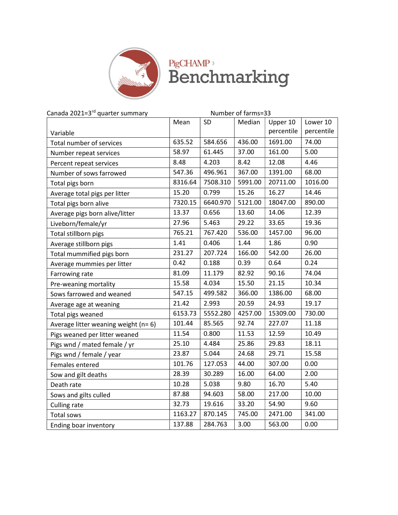

## PigCHAMP<sup>,</sup><br>Benchmarking

| Canada 2021=3 <sup>rd</sup> quarter summary |         |          | Number of farms=33 |            |            |
|---------------------------------------------|---------|----------|--------------------|------------|------------|
|                                             | Mean    | SD       | Median             | Upper 10   | Lower 10   |
| Variable                                    |         |          |                    | percentile | percentile |
| Total number of services                    | 635.52  | 584.656  | 436.00             | 1691.00    | 74.00      |
| Number repeat services                      | 58.97   | 61.445   | 37.00              | 161.00     | 5.00       |
| Percent repeat services                     | 8.48    | 4.203    | 8.42               | 12.08      | 4.46       |
| Number of sows farrowed                     | 547.36  | 496.961  | 367.00             | 1391.00    | 68.00      |
| Total pigs born                             | 8316.64 | 7508.310 | 5991.00            | 20711.00   | 1016.00    |
| Average total pigs per litter               | 15.20   | 0.799    | 15.26              | 16.27      | 14.46      |
| Total pigs born alive                       | 7320.15 | 6640.970 | 5121.00            | 18047.00   | 890.00     |
| Average pigs born alive/litter              | 13.37   | 0.656    | 13.60              | 14.06      | 12.39      |
| Liveborn/female/yr                          | 27.96   | 5.463    | 29.22              | 33.65      | 19.36      |
| Total stillborn pigs                        | 765.21  | 767.420  | 536.00             | 1457.00    | 96.00      |
| Average stillborn pigs                      | 1.41    | 0.406    | 1.44               | 1.86       | 0.90       |
| Total mummified pigs born                   | 231.27  | 207.724  | 166.00             | 542.00     | 26.00      |
| Average mummies per litter                  | 0.42    | 0.188    | 0.39               | 0.64       | 0.24       |
| Farrowing rate                              | 81.09   | 11.179   | 82.92              | 90.16      | 74.04      |
| Pre-weaning mortality                       | 15.58   | 4.034    | 15.50              | 21.15      | 10.34      |
| Sows farrowed and weaned                    | 547.15  | 499.582  | 366.00             | 1386.00    | 68.00      |
| Average age at weaning                      | 21.42   | 2.993    | 20.59              | 24.93      | 19.17      |
| Total pigs weaned                           | 6153.73 | 5552.280 | 4257.00            | 15309.00   | 730.00     |
| Average litter weaning weight (n= 6)        | 101.44  | 85.565   | 92.74              | 227.07     | 11.18      |
| Pigs weaned per litter weaned               | 11.54   | 0.800    | 11.53              | 12.59      | 10.49      |
| Pigs wnd / mated female / yr                | 25.10   | 4.484    | 25.86              | 29.83      | 18.11      |
| Pigs wnd / female / year                    | 23.87   | 5.044    | 24.68              | 29.71      | 15.58      |
| Females entered                             | 101.76  | 127.053  | 44.00              | 307.00     | 0.00       |
| Sow and gilt deaths                         | 28.39   | 30.289   | 16.00              | 64.00      | 2.00       |
| Death rate                                  | 10.28   | 5.038    | 9.80               | 16.70      | 5.40       |
| Sows and gilts culled                       | 87.88   | 94.603   | 58.00              | 217.00     | 10.00      |
| <b>Culling rate</b>                         | 32.73   | 19.616   | 33.20              | 54.90      | 9.60       |
| Total sows                                  | 1163.27 | 870.145  | 745.00             | 2471.00    | 341.00     |
| Ending boar inventory                       | 137.88  | 284.763  | 3.00               | 563.00     | 0.00       |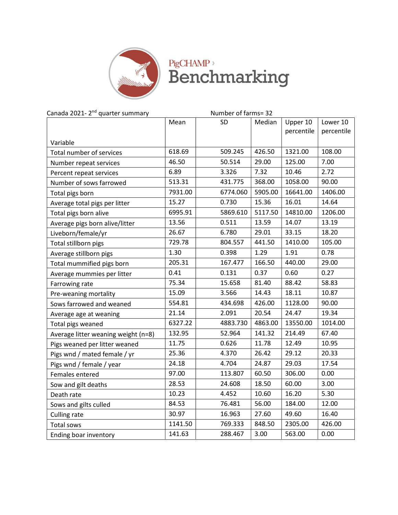

## PigCHAMP<sup>></sup><br>Benchmarking

| Canada 2021-2 <sup>nd</sup> quarter summary | Number of farms= 32 |           |         |            |            |  |
|---------------------------------------------|---------------------|-----------|---------|------------|------------|--|
|                                             | Mean                | <b>SD</b> | Median  | Upper 10   | Lower 10   |  |
|                                             |                     |           |         | percentile | percentile |  |
| Variable                                    |                     |           |         |            |            |  |
| Total number of services                    | 618.69              | 509.245   | 426.50  | 1321.00    | 108.00     |  |
| Number repeat services                      | 46.50               | 50.514    | 29.00   | 125.00     | 7.00       |  |
| Percent repeat services                     | 6.89                | 3.326     | 7.32    | 10.46      | 2.72       |  |
| Number of sows farrowed                     | 513.31              | 431.775   | 368.00  | 1058.00    | 90.00      |  |
| Total pigs born                             | 7931.00             | 6774.060  | 5905.00 | 16641.00   | 1406.00    |  |
| Average total pigs per litter               | 15.27               | 0.730     | 15.36   | 16.01      | 14.64      |  |
| Total pigs born alive                       | 6995.91             | 5869.610  | 5117.50 | 14810.00   | 1206.00    |  |
| Average pigs born alive/litter              | 13.56               | 0.511     | 13.59   | 14.07      | 13.19      |  |
| Liveborn/female/yr                          | 26.67               | 6.780     | 29.01   | 33.15      | 18.20      |  |
| Total stillborn pigs                        | 729.78              | 804.557   | 441.50  | 1410.00    | 105.00     |  |
| Average stillborn pigs                      | 1.30                | 0.398     | 1.29    | 1.91       | 0.78       |  |
| Total mummified pigs born                   | 205.31              | 167.477   | 166.50  | 440.00     | 29.00      |  |
| Average mummies per litter                  | 0.41                | 0.131     | 0.37    | 0.60       | 0.27       |  |
| Farrowing rate                              | 75.34               | 15.658    | 81.40   | 88.42      | 58.83      |  |
| Pre-weaning mortality                       | 15.09               | 3.566     | 14.43   | 18.11      | 10.87      |  |
| Sows farrowed and weaned                    | 554.81              | 434.698   | 426.00  | 1128.00    | 90.00      |  |
| Average age at weaning                      | 21.14               | 2.091     | 20.54   | 24.47      | 19.34      |  |
| Total pigs weaned                           | 6327.22             | 4883.730  | 4863.00 | 13550.00   | 1014.00    |  |
| Average litter weaning weight (n=8)         | 132.95              | 52.964    | 141.32  | 214.49     | 67.40      |  |
| Pigs weaned per litter weaned               | 11.75               | 0.626     | 11.78   | 12.49      | 10.95      |  |
| Pigs wnd / mated female / yr                | 25.36               | 4.370     | 26.42   | 29.12      | 20.33      |  |
| Pigs wnd / female / year                    | 24.18               | 4.704     | 24.87   | 29.03      | 17.54      |  |
| Females entered                             | 97.00               | 113.807   | 60.50   | 306.00     | 0.00       |  |
| Sow and gilt deaths                         | 28.53               | 24.608    | 18.50   | 60.00      | 3.00       |  |
| Death rate                                  | 10.23               | 4.452     | 10.60   | 16.20      | 5.30       |  |
| Sows and gilts culled                       | 84.53               | 76.481    | 56.00   | 184.00     | 12.00      |  |
| Culling rate                                | 30.97               | 16.963    | 27.60   | 49.60      | 16.40      |  |
| Total sows                                  | 1141.50             | 769.333   | 848.50  | 2305.00    | 426.00     |  |
| Ending boar inventory                       | 141.63              | 288.467   | 3.00    | 563.00     | 0.00       |  |